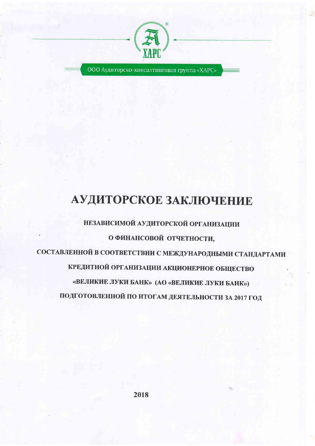

ООО Аудиторско-консалтинговая группа «ХАРС»

# АУДИТОРСКОЕ ЗАКЛЮЧЕНИЕ

НЕЗАВИСИМОЙ АУДИТОРСКОЙ ОРГАНИЗАЦИИ О ФИНАНСОВОЙ ОТЧЕТНОСТИ, СОСТАВЛЕННОЙ В СООТВЕТСТВИИ С МЕЖДУНАРОДНЫМИ СТАНДАРТАМИ КРЕДИТНОЙ ОРГАНИЗАЦИИ АКЦИОНЕРНОЕ ОБЩЕСТВО «ВЕЛИКИЕ ЛУКИ БАНК» (АО «ВЕЛИКИЕ ЛУКИ БАНК») ПОДГОТОВЛЕННОЙ ПО ИТОГАМ ДЕЯТЕЛЬНОСТИ ЗА 2017 ГОД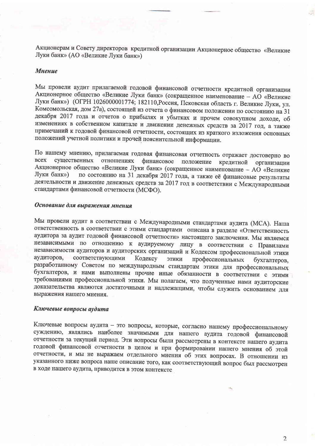Акционерам и Совету директоров кредитной организации Акционерное общество «Великие Луки банк» (АО «Великие Луки банк»)

#### **Мнение**

Мы провели аудит прилагаемой годовой финансовой отчетности кредитной организации Акционерное общество «Великие Луки банк» (сокращенное наименование - АО «Великие Луки банк») (ОГРН 1026000001774; 182110, Россия, Псковская область г. Великие Луки, ул. Комсомольская, дом 27а), состоящей из отчета о финансовом положении по состоянию на 31 декабря 2017 года и отчетов о прибылях и убытках и прочем совокупном доходе, об изменениях в собственном капитале и движении денежных средств за 2017 год, а также примечаний к годовой финансовой отчетности, состоящих из краткого изложения основных положений учетной политики и прочей пояснительной информации.

По нашему мнению, прилагаемая годовая финансовая отчетность отражает достоверно во существенных отношениях **BCCX** финансовое положение кредитной организации Акционерное общество «Великие Луки банк» (сокращенное наименование - АО «Великие по состоянию на 31 декабря 2017 года, а также её финансовые результаты Луки банк») деятельности и движение денежных средств за 2017 год в соответствии с Международными стандартами финансовой отчетности (МСФО).

#### Основание для выражения мнения

Мы провели аудит в соответствии с Международными стандартами аудита (МСА). Наша ответственность в соответствии с этими стандартами описана в разделе «Ответственность аудитора за аудит годовой финансовой отчетности» настоящего заключения. Мы являемся независимыми по отношению к аудируемому лицу в соответствии с Правилами независимости аудиторов и аудиторских организаций и Кодексом профессиональной этики аудиторов, соответствующими Кодексу ЭТИКИ профессиональных бухгалтеров, разработанному Советом по международным стандартам этики для профессиональных бухгалтеров, и нами выполнены прочие иные обязанности в соответствии с этими требованиями профессиональной этики. Мы полагаем, что полученные нами аудиторские доказательства являются достаточными и надлежащими, чтобы служить основанием для выражения нашего мнения.

#### Ключевые вопросы аудита

Ключевые вопросы аудита - это вопросы, которые, согласно нашему профессиональному суждению, являлись наиболее значимыми для нашего аудита годовой финансовой отчетности за текущий период. Эти вопросы были рассмотрены в контексте нашего аудита годовой финансовой отчетности в целом и при формировании нашего мнения об этой отчетности, и мы не выражаем отдельного мнения об этих вопросах. В отношении из указанного ниже вопроса наше описание того, как соответствующий вопрос был рассмотрен в ходе нашего аудита, приводится в этом контексте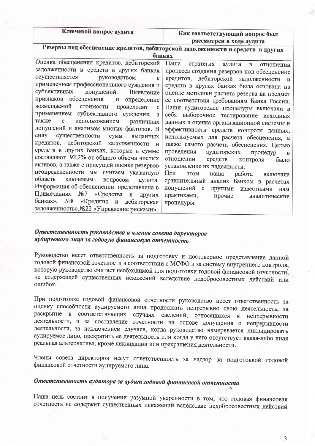Ключевой вопрос аудита

#### Как соответствующий вопрос был рассмотрен в ходе аудита

Резервы под обесценение кредитов, дебиторской задолженности и средств в других банках

| Наша<br>стратегия аудита в<br>отношении           |
|---------------------------------------------------|
| процесса создания резервов под обесценение        |
| кредитов, дебиторской задолженности и             |
| средств в других банках была основана на          |
| оценке методики расчета резерва на предмет        |
| ее соответствия требованиям Банка России.         |
| Наши аудиторские процедуры включали в             |
| себя выборочное тестирование исходных             |
| данных и оценка организационной системы и         |
| эффективности средств контроля данных,            |
| используемых для расчета обесценения, а           |
| также самого расчета обесценения. Целью           |
| проведения<br>аудиторских<br>процедур<br>$\bf{B}$ |
| отношении<br>средств<br>контроля<br>было          |
| установление их надежности.                       |
| При<br><b>9TOM</b><br>работа<br>наша<br>включала  |
| сравнительный анализ Банком в расчетах            |
| допущений с<br>другими известными<br>нам          |
| практиками,<br>прочие<br>аналитические            |
| процедуры.                                        |
|                                                   |
|                                                   |

#### Ответственность руководства и членов совета директоров аудируемого лица за годовую финансовую отчетность

Руководство несет ответственность за подготовку и достоверное представление данной годовой финансовой отчетности в соответствии с МСФО и за систему внутреннего контроля, которую руководство считает необходимой для подготовки годовой финансовой отчетности, не содержащей существенных искажений вследствие недобросовестных действий или ошибок.

При подготовке годовой финансовой отчетности руководство несет ответственность за оценку способности аудируемого лица продолжать непрерывно свою деятельность, за раскрытие в соответствующих случаях сведений, относящихся к непрерывности деятельности, и за составление отчетности на основе допущения о непрерывности деятельности, за исключением случаев, когда руководство намеревается ликвидировать аудируемое лицо, прекратить ее деятельность или когда у него отсутствует какая-либо иная реальная альтернатива, кроме ликвидации или прекращения деятельности.

Члены совета директоров несут ответственность за надзор за подготовкой годовой финансовой отчетности аудируемого лица.

## Ответственность аудитора за аудит годовой финансовой отчетности

Наша цель состоит в получении разумной уверенности в том, что годовая финансовая отчетность не содержит существенных искажений вследствие недобросовестных действий

 $\overline{\mathbf{3}}$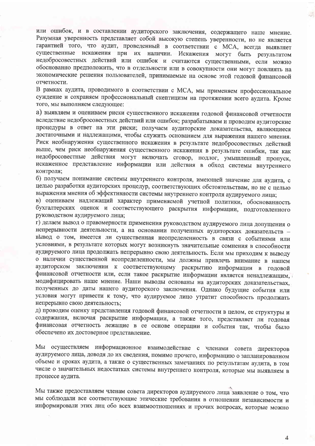или ошибок, и в составлении аудиторского заключения, содержащего наше мнение. Разумная уверенность представляет собой высокую степень уверенности, но не является гарантией того, что аудит, проведенный в соответствии с МСА, всегда выявляет существенные искажения при их наличии. Искажения могут быть результатом недобросовестных действий или ошибок и считаются существенными, если можно обоснованно предположить, что в отдельности или в совокупности они могут повлиять на экономические решения пользователей, принимаемые на основе этой годовой финансовой отчетности.

В рамках аудита, проводимого в соответствии с МСА, мы применяем профессиональное суждение и сохраняем профессиональный скептицизм на протяжении всего аудита. Кроме того, мы выполняем следующее:

а) выявляем и оцениваем риски существенного искажения годовой финансовой отчетности вследствие недобросовестных действий или ошибок; разрабатываем и проводим аудиторские процедуры в ответ на эти риски; получаем аудиторские доказательства, являющиеся достаточными и надлежащими, чтобы служить основанием для выражения нашего мнения. Риск необнаружения существенного искажения в результате недобросовестных действий выше, чем риск необнаружения существенного искажения в результате ошибки, так как недобросовестные действия могут включать сговор, подлог, умышленный пропуск, искаженное представление информации или действия в обход системы внутреннего контроля;

б) получаем понимание системы внутреннего контроля, имеющей значение для аудита, с целью разработки аудиторских процедур, соответствующих обстоятельствам, но не с целью выражения мнения об эффективности системы внутреннего контроля аудируемого лица;

в) оцениваем надлежащий характер применяемой учетной политики, обоснованность бухгалтерских оценок и соответствующего раскрытия информации, подготовленного руководством аудируемого лица:

г) делаем вывод о правомерности применения руководством аудируемого лица допущения о непрерывности деятельности, а на основании полученных аудиторских доказательств вывод о том, имеется ли существенная неопределенность в связи с событиями или условиями, в результате которых могут возникнуть значительные сомнения в способности аудируемого лица продолжать непрерывно свою деятельность. Если мы приходим к выводу о наличии существенной неопределенности, мы должны привлечь внимание в нашем аудиторском заключении к соответствующему раскрытию информации в годовой финансовой отчетности или, если такое раскрытие информации является ненадлежащим, модифицировать наше мнение. Наши выводы основаны на аудиторских доказательствах, полученных до даты нашего аудиторского заключения. Однако будущие события или условия могут привести к тому, что аудируемое лицо утратит способность продолжать непрерывно свою деятельность;

д) проводим оценку представления годовой финансовой отчетности в целом, ее структуры и содержания, включая раскрытие информации, а также того, представляет ли годовая финансовая отчетность лежащие в ее основе операции и события так, чтобы было обеспечено их достоверное представление.

Мы осуществляем информационное взаимодействие с членами совета директоров аудируемого лица, доводя до их сведения, помимо прочего, информацию о запланированном объеме и сроках аудита, а также о существенных замечаниях по результатам аудита, в том числе о значительных недостатках системы внутреннего контроля, которые мы выявляем в процессе аудита.

Мы также предоставляем членам совета директоров аудируемого лица заявление о том, что мы соблюдали все соответствующие этические требования в отношении независимости и информировали этих лиц обо всех взаимоотношениях и прочих вопросах, которые можно

 $\overline{4}$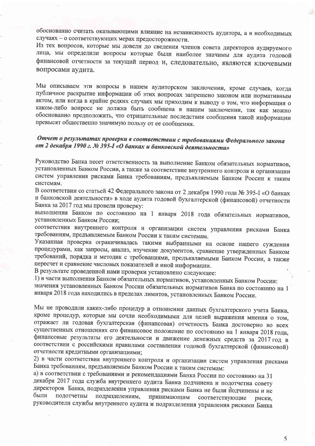обоснованно считать оказывающими влияние на независимость аудитора, а в необходимых случаях - о соответствующих мерах предосторожности.

Из тех вопросов, которые мы довели до сведения членов совета директоров аудируемого лица, мы определили вопросы которые были наиболее значимы для аудита годовой финансовой отчетности за текущий период и, следовательно, являются ключевыми вопросами аудита.

Мы описываем эти вопросы в нашем аудиторском заключении, кроме случаев, когда публичное раскрытие информации об этих вопросах запрещено законом или нормативным актом, или когда в крайне редких случаях мы приходим к выводу о том, что информация о каком-либо вопросе не должна быть сообщена в нашем заключении, так как можно обоснованно предположить, что отрицательные последствия сообщения такой информации превысят общественно значимую пользу от ее сообщения.

### Отчет о результатах проверки в соответствии с требованиями Федерального закона от 2 декабря 1990 г. № 395-I «О банках и банковской деятельности»

Руководство Банка несет ответственность за выполнение Банком обязательных нормативов, установленных Банком России, а также за соответствие внутреннего контроля и организации систем управления рисками Банка требованиям, предъявляемым Банком России к таким системам.

В соответствии со статьей 42 Федерального закона от 2 декабря 1990 года № 395-I «О банках и банковской деятельности» в ходе аудита годовой бухгалтерской (финансовой) отчетности Банка за 2017 год мы провели проверку:

выполнения Банком по состоянию на 1 января 2018 года обязательных нормативов, установленных Банком России;

соответствия внутреннего контроля и организации систем управления рисками Банка требованиям, предъявляемым Банком России к таким системам.

Указанная проверка ограничивалась такими выбранными на основе нашего суждения процедурами, как запросы, анализ, изучение документов, сравнение утвержденных Банком требований, порядка и методик с требованиями, предъявляемыми Банком России, а также пересчет и сравнение числовых показателей и иной информации.

В результате проведенной нами проверки установлено следующее:

1) в части выполнения Банком обязательных нормативов, установленных Банком России:

значения установленных Банком России обязательных нормативов Банка по состоянию на 1 января 2018 года находились в пределах лимитов, установленных Банком России.

Мы не проводили каких-либо процедур в отношении данных бухгалтерского учета Банка, кроме процедур, которые мы сочли необходимыми для целей выражения мнения о том, отражает ли годовая бухгалтерская (финансовая) отчетность Банка достоверно во всех существенных отношениях его финансовое положение по состоянию на 1 января 2018 года, финансовые результаты его деятельности и движение денежных средств за 2017 год в соответствии с российскими правилами составления годовой бухгалтерской (финансовой) отчетности кредитными организациями;

2) в части соответствия внутреннего контроля и организации систем управления рисками Банка требованиям, предъявляемым Банком России к таким системам:

а) в соответствии с требованиями и рекомендациями Банка России по состоянию на 31 декабря 2017 года служба внутреннего аудита Банка подчинена и подотчетна совету директоров Банка, подразделения управления рисками Банка не были подчинены и не были подотчетны подразделениям, принимающим соответствующие риски. руководители службы внутреннего аудита и подразделения управления рисками Банка

5